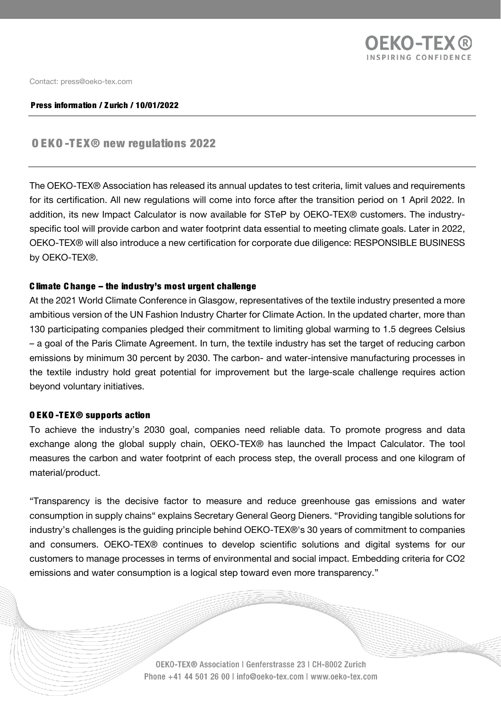

Conta[ct: press@oeko-tex.com](mailto:press@oeko-tex.com)

#### Press information / Zurich / 10/01/2022

# OEKO -TEX® new regulations 2022

The OEKO-TEX® Association has released its annual updates to test criteria, limit values and requirements for its certification. All new regulations will come into force after the transition period on 1 April 2022. In addition, its new Impact Calculator is now available for STeP by OEKO-TEX® customers. The industryspecific tool will provide carbon and water footprint data essential to meeting climate goals. Later in 2022, OEKO-TEX® will also introduce a new certification for corporate due diligence: RESPONSIBLE BUSINESS by OEKO-TEX®.

#### C limate C hange – the industry's most urgent challenge

At the 2021 World Climate Conference in Glasgow, representatives of the textile industry presented a more ambitious version of the UN Fashion Industry Charter for Climate Action. In the updated charter, more than 130 participating companies pledged their commitment to limiting global warming to 1.5 degrees Celsius – a goal of the Paris Climate Agreement. In turn, the textile industry has set the target of reducing carbon emissions by minimum 30 percent by 2030. The carbon- and water-intensive manufacturing processes in the textile industry hold great potential for improvement but the large-scale challenge requires action beyond voluntary initiatives.

### OEKO -TEX® supports action

To achieve the industry's 2030 goal, companies need reliable data. To promote progress and data exchange along the global supply chain, OEKO-TEX® has launched the Impact Calculator. The tool measures the carbon and water footprint of each process step, the overall process and one kilogram of material/product.

"Transparency is the decisive factor to measure and reduce greenhouse gas emissions and water consumption in supply chains" explains Secretary General Georg Dieners. "Providing tangible solutions for industry's challenges is the guiding principle behind OEKO-TEX®'s 30 years of commitment to companies and consumers. OEKO-TEX® continues to develop scientific solutions and digital systems for our customers to manage processes in terms of environmental and social impact. Embedding criteria for CO2 emissions and water consumption is a logical step toward even more transparency."

> OEKO-TEX® Association | Genferstrasse 23 | CH-8002 Zurich Phone +41 44 501 26 00 | info@oeko-tex.com | www.oeko-tex.com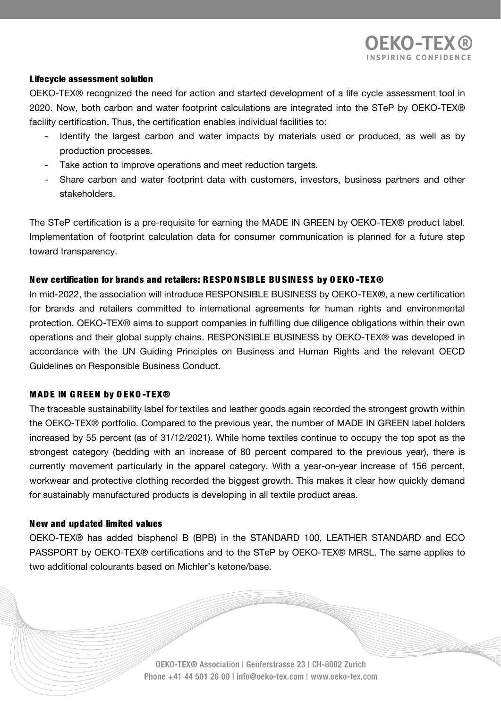## Lifecycle assessment solution

OEKO-TEX® recognized the need for action and started development of a life cycle assessment tool in 2020. Now, both carbon and water footprint calculations are integrated into the STeP by OEKO-TEX® facility certification. Thus, the certification enables individual facilities to:

- Identify the largest carbon and water impacts by materials used or produced, as well as by production processes.
- Take action to improve operations and meet reduction targets.
- Share carbon and water footprint data with customers, investors, business partners and other stakeholders.

The STeP certification is a pre-requisite for earning the MADE IN GREEN by OEKO-TEX® product label. Implementation of footprint calculation data for consumer communication is planned for a future step toward transparency.

# New certification for brands and retailers: RESPO NSIBLE BU SINESS by O EKO -TEX®

In mid-2022, the association will introduce RESPONSIBLE BUSINESS by OEKO-TEX®, a new certification for brands and retailers committed to international agreements for human rights and environmental protection. OEKO-TEX® aims to support companies in fulfilling due diligence obligations within their own operations and their global supply chains. RESPONSIBLE BUSINESS by OEKO-TEX® was developed in accordance with the UN Guiding Principles on Business and Human Rights and the relevant OECD Guidelines on Responsible Business Conduct.

### MADE IN G REEN by O EKO -TEX®

The traceable sustainability label for textiles and leather goods again recorded the strongest growth within the OEKO-TEX® portfolio. Compared to the previous year, the number of MADE IN GREEN label holders increased by 55 percent (as of 31/12/2021). While home textiles continue to occupy the top spot as the strongest category (bedding with an increase of 80 percent compared to the previous year), there is currently movement particularly in the apparel category. With a year-on-year increase of 156 percent, workwear and protective clothing recorded the biggest growth. This makes it clear how quickly demand for sustainably manufactured products is developing in all textile product areas.

### N ew and updated limited values

OEKO-TEX® has added bisphenol B (BPB) in the STANDARD 100, LEATHER STANDARD and ECO PASSPORT by OEKO-TEX® certifications and to the STeP by OEKO-TEX® MRSL. The same applies to two additional colourants based on Michler's ketone/base.

> OEKO-TEX® Association | Genferstrasse 23 | CH-8002 Zurich Phone +41 44 501 26 00 | info@oeko-tex.com | www.oeko-tex.com